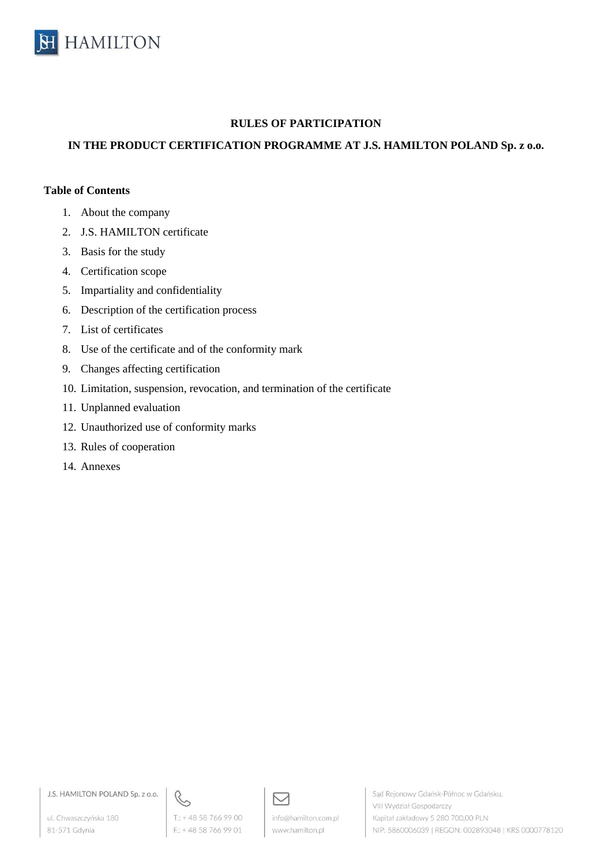

# **RULES OF PARTICIPATION**

# **IN THE PRODUCT CERTIFICATION PROGRAMME AT J.S. HAMILTON POLAND Sp. z o.o.**

#### **Table of Contents**

- 1. About the company
- 2. J.S. HAMILTON certificate
- 3. Basis for the study
- 4. Certification scope
- 5. Impartiality and confidentiality
- 6. Description of the certification process
- 7. List of certificates
- 8. Use of the certificate and of the conformity mark
- 9. Changes affecting certification
- 10. Limitation, suspension, revocation, and termination of the certificate
- 11. Unplanned evaluation
- 12. Unauthorized use of conformity marks
- 13. Rules of cooperation
- 14. Annexes

J.S. HAMILTON POLAND Sp. z o.o.

ul. Chwaszczyńska 180 81-571 Gdynia



 $F: +48587669901$ 

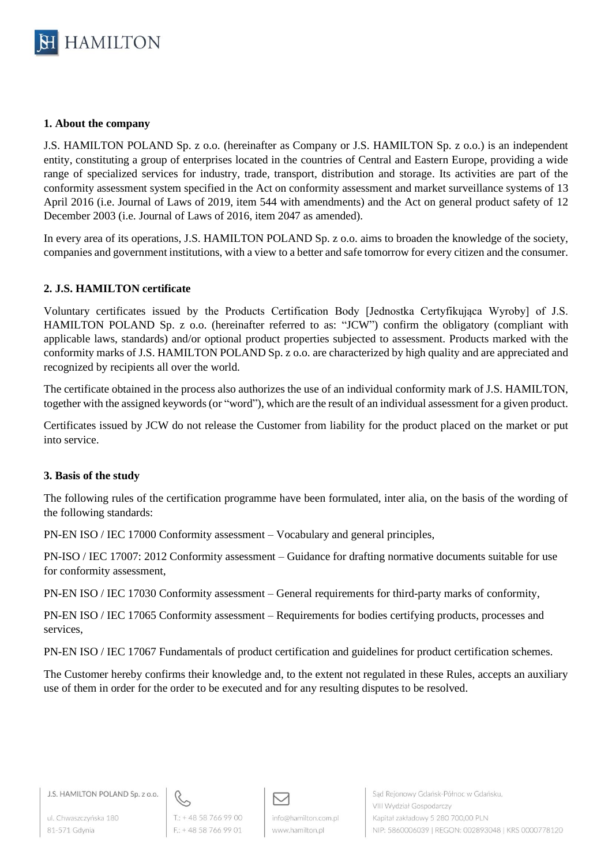

### **1. About the company**

J.S. HAMILTON POLAND Sp. z o.o. (hereinafter as Company or J.S. HAMILTON Sp. z o.o.) is an independent entity, constituting a group of enterprises located in the countries of Central and Eastern Europe, providing a wide range of specialized services for industry, trade, transport, distribution and storage. Its activities are part of the conformity assessment system specified in the Act on conformity assessment and market surveillance systems of 13 April 2016 (i.e. Journal of Laws of 2019, item 544 with amendments) and the Act on general product safety of 12 December 2003 (i.e. Journal of Laws of 2016, item 2047 as amended).

In every area of its operations, J.S. HAMILTON POLAND Sp. z o.o. aims to broaden the knowledge of the society, companies and government institutions, with a view to a better and safe tomorrow for every citizen and the consumer.

### **2. J.S. HAMILTON certificate**

Voluntary certificates issued by the Products Certification Body [Jednostka Certyfikująca Wyroby] of J.S. HAMILTON POLAND Sp. z o.o. (hereinafter referred to as: "JCW") confirm the obligatory (compliant with applicable laws, standards) and/or optional product properties subjected to assessment. Products marked with the conformity marks of J.S. HAMILTON POLAND Sp. z o.o. are characterized by high quality and are appreciated and recognized by recipients all over the world.

The certificate obtained in the process also authorizes the use of an individual conformity mark of J.S. HAMILTON, together with the assigned keywords (or "word"), which are the result of an individual assessment for a given product.

Certificates issued by JCW do not release the Customer from liability for the product placed on the market or put into service.

### **3. Basis of the study**

The following rules of the certification programme have been formulated, inter alia, on the basis of the wording of the following standards:

PN-EN ISO / IEC 17000 Conformity assessment – Vocabulary and general principles,

PN-ISO / IEC 17007: 2012 Conformity assessment – Guidance for drafting normative documents suitable for use for conformity assessment,

PN-EN ISO / IEC 17030 Conformity assessment – General requirements for third-party marks of conformity,

PN-EN ISO / IEC 17065 Conformity assessment – Requirements for bodies certifying products, processes and services,

PN-EN ISO / IEC 17067 Fundamentals of product certification and guidelines for product certification schemes.

The Customer hereby confirms their knowledge and, to the extent not regulated in these Rules, accepts an auxiliary use of them in order for the order to be executed and for any resulting disputes to be resolved.



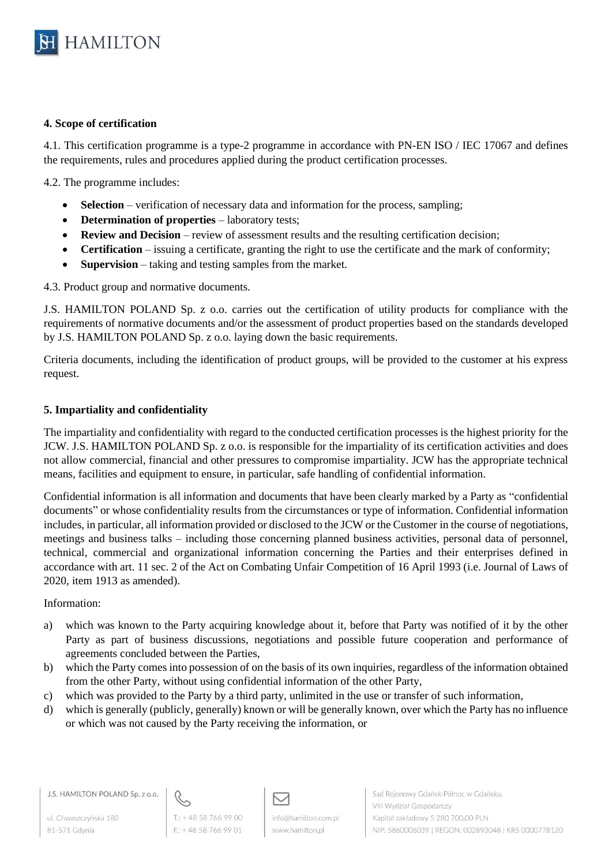

### **4. Scope of certification**

4.1. This certification programme is a type-2 programme in accordance with PN-EN ISO / IEC 17067 and defines the requirements, rules and procedures applied during the product certification processes.

4.2. The programme includes:

- **Selection** verification of necessary data and information for the process, sampling;
- **Determination of properties** laboratory tests;
- **Review and Decision** review of assessment results and the resulting certification decision;
- **Certification** issuing a certificate, granting the right to use the certificate and the mark of conformity;
- **Supervision** taking and testing samples from the market.

4.3. Product group and normative documents.

J.S. HAMILTON POLAND Sp. z o.o. carries out the certification of utility products for compliance with the requirements of normative documents and/or the assessment of product properties based on the standards developed by J.S. HAMILTON POLAND Sp. z o.o. laying down the basic requirements.

Criteria documents, including the identification of product groups, will be provided to the customer at his express request.

### **5. Impartiality and confidentiality**

The impartiality and confidentiality with regard to the conducted certification processes is the highest priority for the JCW. J.S. HAMILTON POLAND Sp. z o.o. is responsible for the impartiality of its certification activities and does not allow commercial, financial and other pressures to compromise impartiality. JCW has the appropriate technical means, facilities and equipment to ensure, in particular, safe handling of confidential information.

Confidential information is all information and documents that have been clearly marked by a Party as "confidential documents" or whose confidentiality results from the circumstances or type of information. Confidential information includes, in particular, all information provided or disclosed to the JCW or the Customer in the course of negotiations, meetings and business talks – including those concerning planned business activities, personal data of personnel, technical, commercial and organizational information concerning the Parties and their enterprises defined in accordance with art. 11 sec. 2 of the Act on Combating Unfair Competition of 16 April 1993 (i.e. Journal of Laws of 2020, item 1913 as amended).

### Information:

- a) which was known to the Party acquiring knowledge about it, before that Party was notified of it by the other Party as part of business discussions, negotiations and possible future cooperation and performance of agreements concluded between the Parties,
- b) which the Party comes into possession of on the basis of its own inquiries, regardless of the information obtained from the other Party, without using confidential information of the other Party,
- c) which was provided to the Party by a third party, unlimited in the use or transfer of such information,
- d) which is generally (publicly, generally) known or will be generally known, over which the Party has no influence or which was not caused by the Party receiving the information, or

ul. Chwaszczyńska 180 81-571 Gdynia



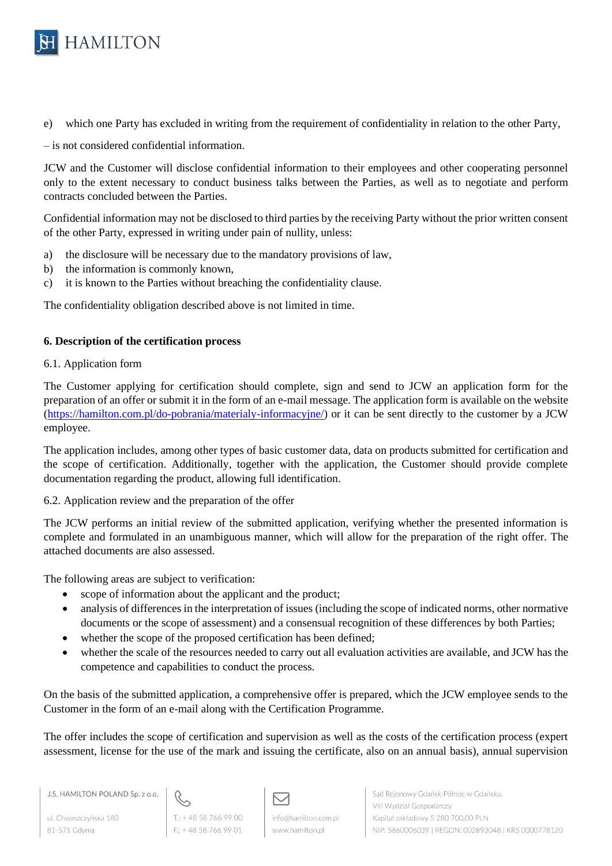

e) which one Party has excluded in writing from the requirement of confidentiality in relation to the other Party,

– is not considered confidential information.

JCW and the Customer will disclose confidential information to their employees and other cooperating personnel only to the extent necessary to conduct business talks between the Parties, as well as to negotiate and perform contracts concluded between the Parties.

Confidential information may not be disclosed to third parties by the receiving Party without the prior written consent of the other Party, expressed in writing under pain of nullity, unless:

- a) the disclosure will be necessary due to the mandatory provisions of law,
- b) the information is commonly known,
- c) it is known to the Parties without breaching the confidentiality clause.

The confidentiality obligation described above is not limited in time.

## **6. Description of the certification process**

## 6.1. Application form

The Customer applying for certification should complete, sign and send to JCW an application form for the preparation of an offer or submit it in the form of an e-mail message. The application form is available on the website [\(https://hamilton.com.pl/do-pobrania/materialy-informacyjne/\)](https://hamilton.com.pl/do-pobrania/materialy-informacyjne/) or it can be sent directly to the customer by a JCW employee.

The application includes, among other types of basic customer data, data on products submitted for certification and the scope of certification. Additionally, together with the application, the Customer should provide complete documentation regarding the product, allowing full identification.

6.2. Application review and the preparation of the offer

The JCW performs an initial review of the submitted application, verifying whether the presented information is complete and formulated in an unambiguous manner, which will allow for the preparation of the right offer. The attached documents are also assessed.

The following areas are subject to verification:

- scope of information about the applicant and the product;
- analysis of differences in the interpretation of issues (including the scope of indicated norms, other normative documents or the scope of assessment) and a consensual recognition of these differences by both Parties;
- whether the scope of the proposed certification has been defined;
- whether the scale of the resources needed to carry out all evaluation activities are available, and JCW has the competence and capabilities to conduct the process.

On the basis of the submitted application, a comprehensive offer is prepared, which the JCW employee sends to the Customer in the form of an e-mail along with the Certification Programme.

The offer includes the scope of certification and supervision as well as the costs of the certification process (expert assessment, license for the use of the mark and issuing the certificate, also on an annual basis), annual supervision

J.S. HAMILTON POLAND Sp. z o.o.

ul. Chwaszczyńska 180 81-571 Gdynia



 $F: +48587669901$ 

M info@hamilton.com.pl www.hamilton.pl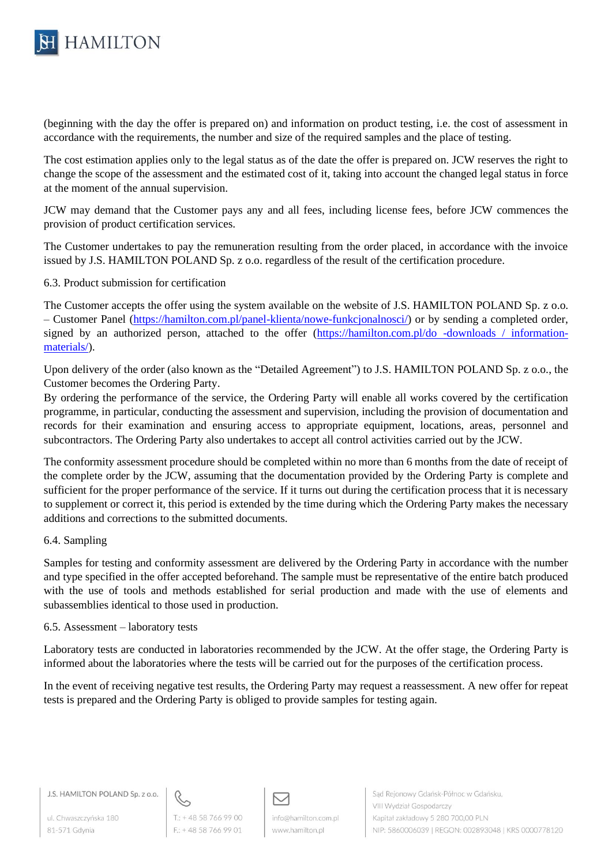

(beginning with the day the offer is prepared on) and information on product testing, i.e. the cost of assessment in accordance with the requirements, the number and size of the required samples and the place of testing.

The cost estimation applies only to the legal status as of the date the offer is prepared on. JCW reserves the right to change the scope of the assessment and the estimated cost of it, taking into account the changed legal status in force at the moment of the annual supervision.

JCW may demand that the Customer pays any and all fees, including license fees, before JCW commences the provision of product certification services.

The Customer undertakes to pay the remuneration resulting from the order placed, in accordance with the invoice issued by J.S. HAMILTON POLAND Sp. z o.o. regardless of the result of the certification procedure.

6.3. Product submission for certification

The Customer accepts the offer using the system available on the website of J.S. HAMILTON POLAND Sp. z o.o. – Customer Panel [\(https://hamilton.com.pl/panel-klienta/nowe-funkcjonalnosci/\)](https://hamilton.com.pl/panel-klienta/nowe-funkcjonalnosci/) or by sending a completed order, signed by an authorized person, attached to the offer [\(https://hamilton.com.pl/do -downloads / information](https://hamilton.com.pl/do-pobrania/materialy-informacyjne/)[materials/\)](https://hamilton.com.pl/do-pobrania/materialy-informacyjne/).

Upon delivery of the order (also known as the "Detailed Agreement") to J.S. HAMILTON POLAND Sp. z o.o., the Customer becomes the Ordering Party.

By ordering the performance of the service, the Ordering Party will enable all works covered by the certification programme, in particular, conducting the assessment and supervision, including the provision of documentation and records for their examination and ensuring access to appropriate equipment, locations, areas, personnel and subcontractors. The Ordering Party also undertakes to accept all control activities carried out by the JCW.

The conformity assessment procedure should be completed within no more than 6 months from the date of receipt of the complete order by the JCW, assuming that the documentation provided by the Ordering Party is complete and sufficient for the proper performance of the service. If it turns out during the certification process that it is necessary to supplement or correct it, this period is extended by the time during which the Ordering Party makes the necessary additions and corrections to the submitted documents.

### 6.4. Sampling

Samples for testing and conformity assessment are delivered by the Ordering Party in accordance with the number and type specified in the offer accepted beforehand. The sample must be representative of the entire batch produced with the use of tools and methods established for serial production and made with the use of elements and subassemblies identical to those used in production.

#### 6.5. Assessment – laboratory tests

Laboratory tests are conducted in laboratories recommended by the JCW. At the offer stage, the Ordering Party is informed about the laboratories where the tests will be carried out for the purposes of the certification process.

In the event of receiving negative test results, the Ordering Party may request a reassessment. A new offer for repeat tests is prepared and the Ordering Party is obliged to provide samples for testing again.

J.S. HAMILTON POLAND Sp. z o.o.

ul. Chwaszczyńska 180 81-571 Gdynia



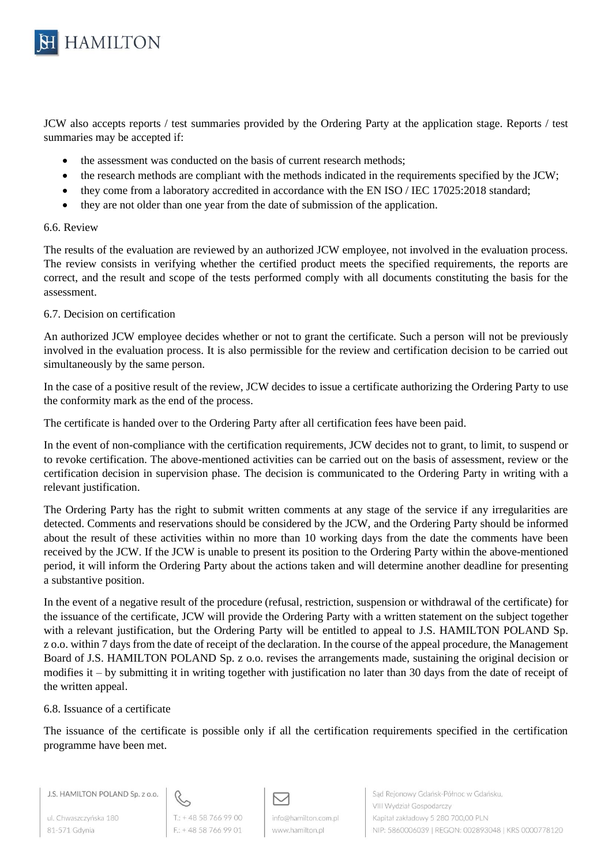

JCW also accepts reports / test summaries provided by the Ordering Party at the application stage. Reports / test summaries may be accepted if:

- the assessment was conducted on the basis of current research methods;
- the research methods are compliant with the methods indicated in the requirements specified by the JCW;
- they come from a laboratory accredited in accordance with the EN ISO / IEC 17025:2018 standard;
- they are not older than one year from the date of submission of the application.

#### 6.6. Review

The results of the evaluation are reviewed by an authorized JCW employee, not involved in the evaluation process. The review consists in verifying whether the certified product meets the specified requirements, the reports are correct, and the result and scope of the tests performed comply with all documents constituting the basis for the assessment.

### 6.7. Decision on certification

An authorized JCW employee decides whether or not to grant the certificate. Such a person will not be previously involved in the evaluation process. It is also permissible for the review and certification decision to be carried out simultaneously by the same person.

In the case of a positive result of the review, JCW decides to issue a certificate authorizing the Ordering Party to use the conformity mark as the end of the process.

The certificate is handed over to the Ordering Party after all certification fees have been paid.

In the event of non-compliance with the certification requirements, JCW decides not to grant, to limit, to suspend or to revoke certification. The above-mentioned activities can be carried out on the basis of assessment, review or the certification decision in supervision phase. The decision is communicated to the Ordering Party in writing with a relevant justification.

The Ordering Party has the right to submit written comments at any stage of the service if any irregularities are detected. Comments and reservations should be considered by the JCW, and the Ordering Party should be informed about the result of these activities within no more than 10 working days from the date the comments have been received by the JCW. If the JCW is unable to present its position to the Ordering Party within the above-mentioned period, it will inform the Ordering Party about the actions taken and will determine another deadline for presenting a substantive position.

In the event of a negative result of the procedure (refusal, restriction, suspension or withdrawal of the certificate) for the issuance of the certificate, JCW will provide the Ordering Party with a written statement on the subject together with a relevant justification, but the Ordering Party will be entitled to appeal to J.S. HAMILTON POLAND Sp. z o.o. within 7 days from the date of receipt of the declaration. In the course of the appeal procedure, the Management Board of J.S. HAMILTON POLAND Sp. z o.o. revises the arrangements made, sustaining the original decision or modifies it – by submitting it in writing together with justification no later than 30 days from the date of receipt of the written appeal.

### 6.8. Issuance of a certificate

The issuance of the certificate is possible only if all the certification requirements specified in the certification programme have been met.



ul. Chwaszczyńska 180 81-571 Gdynia



 $F: +48587669901$ 

М info@hamilton.com.pl www.hamilton.pl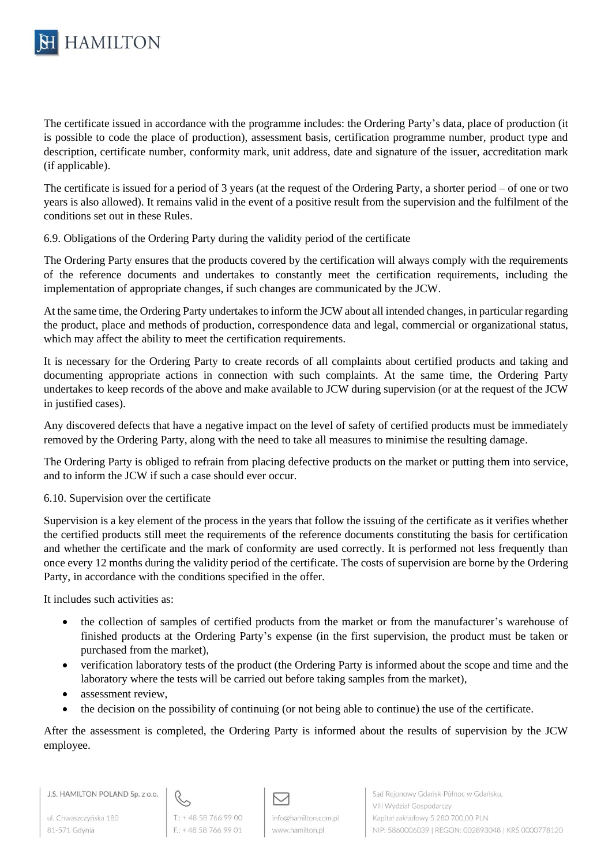

The certificate issued in accordance with the programme includes: the Ordering Party's data, place of production (it is possible to code the place of production), assessment basis, certification programme number, product type and description, certificate number, conformity mark, unit address, date and signature of the issuer, accreditation mark (if applicable).

The certificate is issued for a period of 3 years (at the request of the Ordering Party, a shorter period – of one or two years is also allowed). It remains valid in the event of a positive result from the supervision and the fulfilment of the conditions set out in these Rules.

6.9. Obligations of the Ordering Party during the validity period of the certificate

The Ordering Party ensures that the products covered by the certification will always comply with the requirements of the reference documents and undertakes to constantly meet the certification requirements, including the implementation of appropriate changes, if such changes are communicated by the JCW.

At the same time, the Ordering Party undertakes to inform the JCW about all intended changes, in particular regarding the product, place and methods of production, correspondence data and legal, commercial or organizational status, which may affect the ability to meet the certification requirements.

It is necessary for the Ordering Party to create records of all complaints about certified products and taking and documenting appropriate actions in connection with such complaints. At the same time, the Ordering Party undertakes to keep records of the above and make available to JCW during supervision (or at the request of the JCW in justified cases).

Any discovered defects that have a negative impact on the level of safety of certified products must be immediately removed by the Ordering Party, along with the need to take all measures to minimise the resulting damage.

The Ordering Party is obliged to refrain from placing defective products on the market or putting them into service, and to inform the JCW if such a case should ever occur.

6.10. Supervision over the certificate

Supervision is a key element of the process in the years that follow the issuing of the certificate as it verifies whether the certified products still meet the requirements of the reference documents constituting the basis for certification and whether the certificate and the mark of conformity are used correctly. It is performed not less frequently than once every 12 months during the validity period of the certificate. The costs of supervision are borne by the Ordering Party, in accordance with the conditions specified in the offer.

It includes such activities as:

- the collection of samples of certified products from the market or from the manufacturer's warehouse of finished products at the Ordering Party's expense (in the first supervision, the product must be taken or purchased from the market),
- verification laboratory tests of the product (the Ordering Party is informed about the scope and time and the laboratory where the tests will be carried out before taking samples from the market),
- assessment review,
- the decision on the possibility of continuing (or not being able to continue) the use of the certificate.

After the assessment is completed, the Ordering Party is informed about the results of supervision by the JCW employee.

ul. Chwaszczyńska 180 81-571 Gdynia



罓 info@hamilton.com.pl www.hamilton.pl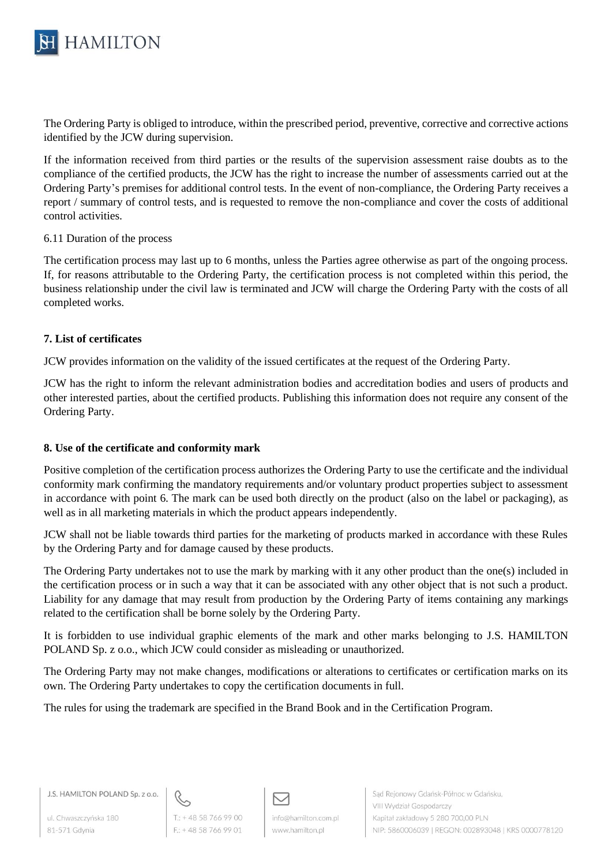

The Ordering Party is obliged to introduce, within the prescribed period, preventive, corrective and corrective actions identified by the JCW during supervision.

If the information received from third parties or the results of the supervision assessment raise doubts as to the compliance of the certified products, the JCW has the right to increase the number of assessments carried out at the Ordering Party's premises for additional control tests. In the event of non-compliance, the Ordering Party receives a report / summary of control tests, and is requested to remove the non-compliance and cover the costs of additional control activities.

### 6.11 Duration of the process

The certification process may last up to 6 months, unless the Parties agree otherwise as part of the ongoing process. If, for reasons attributable to the Ordering Party, the certification process is not completed within this period, the business relationship under the civil law is terminated and JCW will charge the Ordering Party with the costs of all completed works.

### **7. List of certificates**

JCW provides information on the validity of the issued certificates at the request of the Ordering Party.

JCW has the right to inform the relevant administration bodies and accreditation bodies and users of products and other interested parties, about the certified products. Publishing this information does not require any consent of the Ordering Party.

### **8. Use of the certificate and conformity mark**

Positive completion of the certification process authorizes the Ordering Party to use the certificate and the individual conformity mark confirming the mandatory requirements and/or voluntary product properties subject to assessment in accordance with point 6. The mark can be used both directly on the product (also on the label or packaging), as well as in all marketing materials in which the product appears independently.

JCW shall not be liable towards third parties for the marketing of products marked in accordance with these Rules by the Ordering Party and for damage caused by these products.

The Ordering Party undertakes not to use the mark by marking with it any other product than the one(s) included in the certification process or in such a way that it can be associated with any other object that is not such a product. Liability for any damage that may result from production by the Ordering Party of items containing any markings related to the certification shall be borne solely by the Ordering Party.

It is forbidden to use individual graphic elements of the mark and other marks belonging to J.S. HAMILTON POLAND Sp. z o.o., which JCW could consider as misleading or unauthorized.

The Ordering Party may not make changes, modifications or alterations to certificates or certification marks on its own. The Ordering Party undertakes to copy the certification documents in full.

The rules for using the trademark are specified in the Brand Book and in the Certification Program.

J.S. HAMILTON POLAND Sp. z o.o.

ul. Chwaszczyńska 180 81-571 Gdynia



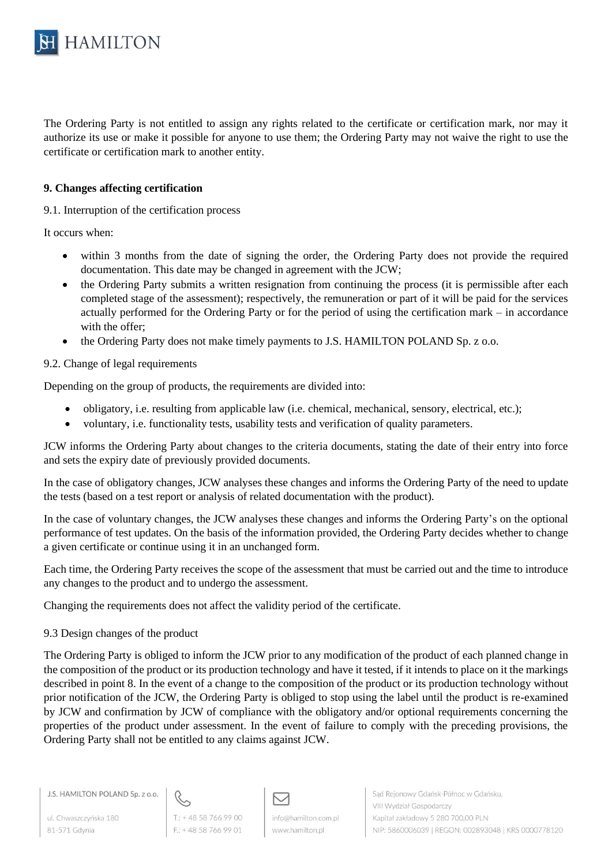

The Ordering Party is not entitled to assign any rights related to the certificate or certification mark, nor may it authorize its use or make it possible for anyone to use them; the Ordering Party may not waive the right to use the certificate or certification mark to another entity.

## **9. Changes affecting certification**

9.1. Interruption of the certification process

It occurs when:

- within 3 months from the date of signing the order, the Ordering Party does not provide the required documentation. This date may be changed in agreement with the JCW;
- the Ordering Party submits a written resignation from continuing the process (it is permissible after each completed stage of the assessment); respectively, the remuneration or part of it will be paid for the services actually performed for the Ordering Party or for the period of using the certification mark – in accordance with the offer;
- the Ordering Party does not make timely payments to J.S. HAMILTON POLAND Sp. z o.o.

9.2. Change of legal requirements

Depending on the group of products, the requirements are divided into:

- obligatory, i.e. resulting from applicable law (i.e. chemical, mechanical, sensory, electrical, etc.);
- voluntary, i.e. functionality tests, usability tests and verification of quality parameters.

JCW informs the Ordering Party about changes to the criteria documents, stating the date of their entry into force and sets the expiry date of previously provided documents.

In the case of obligatory changes, JCW analyses these changes and informs the Ordering Party of the need to update the tests (based on a test report or analysis of related documentation with the product).

In the case of voluntary changes, the JCW analyses these changes and informs the Ordering Party's on the optional performance of test updates. On the basis of the information provided, the Ordering Party decides whether to change a given certificate or continue using it in an unchanged form.

Each time, the Ordering Party receives the scope of the assessment that must be carried out and the time to introduce any changes to the product and to undergo the assessment.

Changing the requirements does not affect the validity period of the certificate.

### 9.3 Design changes of the product

The Ordering Party is obliged to inform the JCW prior to any modification of the product of each planned change in the composition of the product or its production technology and have it tested, if it intends to place on it the markings described in point 8. In the event of a change to the composition of the product or its production technology without prior notification of the JCW, the Ordering Party is obliged to stop using the label until the product is re-examined by JCW and confirmation by JCW of compliance with the obligatory and/or optional requirements concerning the properties of the product under assessment. In the event of failure to comply with the preceding provisions, the Ordering Party shall not be entitled to any claims against JCW.

ul. Chwaszczyńska 180 81-571 Gdynia



 $F: +48587669901$ 

М info@hamilton.com.pl www.hamilton.pl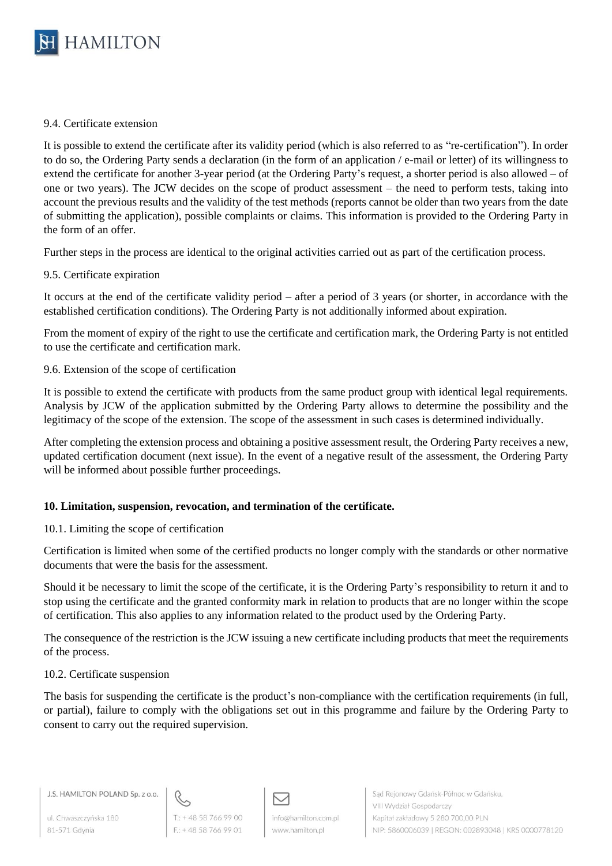

### 9.4. Certificate extension

It is possible to extend the certificate after its validity period (which is also referred to as "re-certification"). In order to do so, the Ordering Party sends a declaration (in the form of an application / e-mail or letter) of its willingness to extend the certificate for another 3-year period (at the Ordering Party's request, a shorter period is also allowed – of one or two years). The JCW decides on the scope of product assessment – the need to perform tests, taking into account the previous results and the validity of the test methods (reports cannot be older than two years from the date of submitting the application), possible complaints or claims. This information is provided to the Ordering Party in the form of an offer.

Further steps in the process are identical to the original activities carried out as part of the certification process.

## 9.5. Certificate expiration

It occurs at the end of the certificate validity period – after a period of 3 years (or shorter, in accordance with the established certification conditions). The Ordering Party is not additionally informed about expiration.

From the moment of expiry of the right to use the certificate and certification mark, the Ordering Party is not entitled to use the certificate and certification mark.

### 9.6. Extension of the scope of certification

It is possible to extend the certificate with products from the same product group with identical legal requirements. Analysis by JCW of the application submitted by the Ordering Party allows to determine the possibility and the legitimacy of the scope of the extension. The scope of the assessment in such cases is determined individually.

After completing the extension process and obtaining a positive assessment result, the Ordering Party receives a new, updated certification document (next issue). In the event of a negative result of the assessment, the Ordering Party will be informed about possible further proceedings.

### **10. Limitation, suspension, revocation, and termination of the certificate.**

### 10.1. Limiting the scope of certification

Certification is limited when some of the certified products no longer comply with the standards or other normative documents that were the basis for the assessment.

Should it be necessary to limit the scope of the certificate, it is the Ordering Party's responsibility to return it and to stop using the certificate and the granted conformity mark in relation to products that are no longer within the scope of certification. This also applies to any information related to the product used by the Ordering Party.

The consequence of the restriction is the JCW issuing a new certificate including products that meet the requirements of the process.

### 10.2. Certificate suspension

The basis for suspending the certificate is the product's non-compliance with the certification requirements (in full, or partial), failure to comply with the obligations set out in this programme and failure by the Ordering Party to consent to carry out the required supervision.

ul. Chwaszczyńska 180 81-571 Gdynia



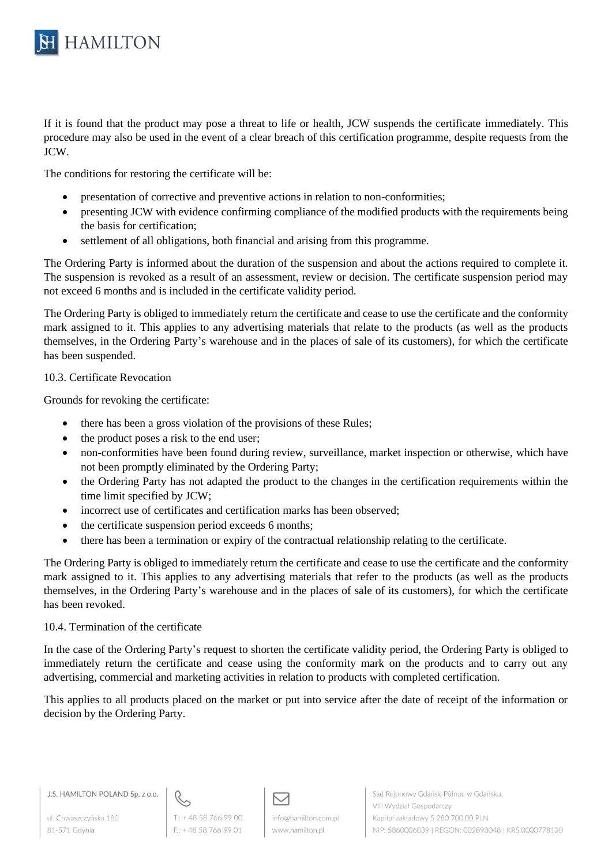

If it is found that the product may pose a threat to life or health, JCW suspends the certificate immediately. This procedure may also be used in the event of a clear breach of this certification programme, despite requests from the JCW.

The conditions for restoring the certificate will be:

- presentation of corrective and preventive actions in relation to non-conformities;
- presenting JCW with evidence confirming compliance of the modified products with the requirements being the basis for certification;
- settlement of all obligations, both financial and arising from this programme.

The Ordering Party is informed about the duration of the suspension and about the actions required to complete it. The suspension is revoked as a result of an assessment, review or decision. The certificate suspension period may not exceed 6 months and is included in the certificate validity period.

The Ordering Party is obliged to immediately return the certificate and cease to use the certificate and the conformity mark assigned to it. This applies to any advertising materials that relate to the products (as well as the products themselves, in the Ordering Party's warehouse and in the places of sale of its customers), for which the certificate has been suspended.

## 10.3. Certificate Revocation

Grounds for revoking the certificate:

- there has been a gross violation of the provisions of these Rules;
- the product poses a risk to the end user;
- non-conformities have been found during review, surveillance, market inspection or otherwise, which have not been promptly eliminated by the Ordering Party;
- the Ordering Party has not adapted the product to the changes in the certification requirements within the time limit specified by JCW;
- incorrect use of certificates and certification marks has been observed;
- the certificate suspension period exceeds 6 months;
- there has been a termination or expiry of the contractual relationship relating to the certificate.

The Ordering Party is obliged to immediately return the certificate and cease to use the certificate and the conformity mark assigned to it. This applies to any advertising materials that refer to the products (as well as the products themselves, in the Ordering Party's warehouse and in the places of sale of its customers), for which the certificate has been revoked.

### 10.4. Termination of the certificate

In the case of the Ordering Party's request to shorten the certificate validity period, the Ordering Party is obliged to immediately return the certificate and cease using the conformity mark on the products and to carry out any advertising, commercial and marketing activities in relation to products with completed certification.

This applies to all products placed on the market or put into service after the date of receipt of the information or decision by the Ordering Party.

J.S. HAMILTON POLAND Sp. z o.o.

ul. Chwaszczyńska 180 81-571 Gdynia



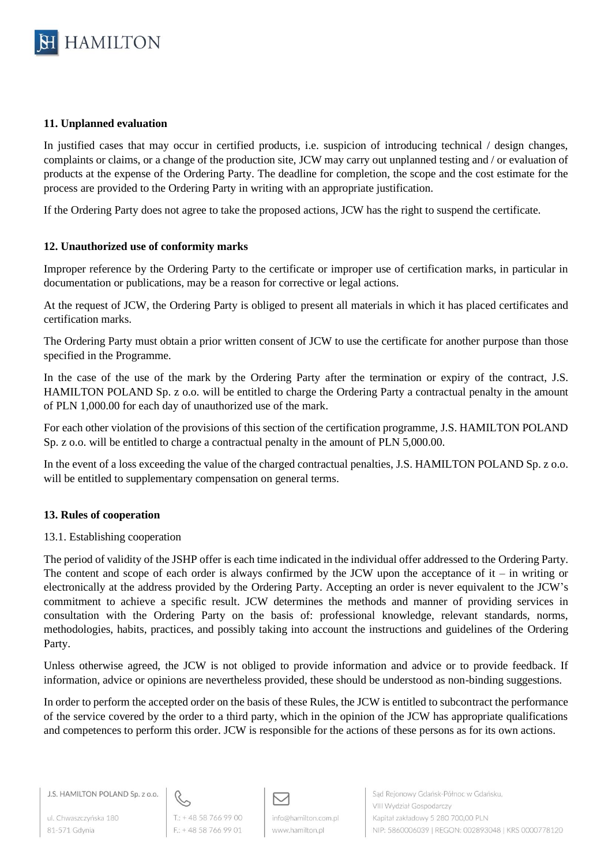

### **11. Unplanned evaluation**

In justified cases that may occur in certified products, i.e. suspicion of introducing technical / design changes, complaints or claims, or a change of the production site, JCW may carry out unplanned testing and / or evaluation of products at the expense of the Ordering Party. The deadline for completion, the scope and the cost estimate for the process are provided to the Ordering Party in writing with an appropriate justification.

If the Ordering Party does not agree to take the proposed actions, JCW has the right to suspend the certificate.

## **12. Unauthorized use of conformity marks**

Improper reference by the Ordering Party to the certificate or improper use of certification marks, in particular in documentation or publications, may be a reason for corrective or legal actions.

At the request of JCW, the Ordering Party is obliged to present all materials in which it has placed certificates and certification marks.

The Ordering Party must obtain a prior written consent of JCW to use the certificate for another purpose than those specified in the Programme.

In the case of the use of the mark by the Ordering Party after the termination or expiry of the contract, J.S. HAMILTON POLAND Sp. z o.o. will be entitled to charge the Ordering Party a contractual penalty in the amount of PLN 1,000.00 for each day of unauthorized use of the mark.

For each other violation of the provisions of this section of the certification programme, J.S. HAMILTON POLAND Sp. z o.o. will be entitled to charge a contractual penalty in the amount of PLN 5,000.00.

In the event of a loss exceeding the value of the charged contractual penalties, J.S. HAMILTON POLAND Sp. z o.o. will be entitled to supplementary compensation on general terms.

# **13. Rules of cooperation**

### 13.1. Establishing cooperation

The period of validity of the JSHP offer is each time indicated in the individual offer addressed to the Ordering Party. The content and scope of each order is always confirmed by the JCW upon the acceptance of  $it - in$  writing or electronically at the address provided by the Ordering Party. Accepting an order is never equivalent to the JCW's commitment to achieve a specific result. JCW determines the methods and manner of providing services in consultation with the Ordering Party on the basis of: professional knowledge, relevant standards, norms, methodologies, habits, practices, and possibly taking into account the instructions and guidelines of the Ordering Party.

Unless otherwise agreed, the JCW is not obliged to provide information and advice or to provide feedback. If information, advice or opinions are nevertheless provided, these should be understood as non-binding suggestions.

In order to perform the accepted order on the basis of these Rules, the JCW is entitled to subcontract the performance of the service covered by the order to a third party, which in the opinion of the JCW has appropriate qualifications and competences to perform this order. JCW is responsible for the actions of these persons as for its own actions.

J.S. HAMILTON POLAND Sp. z o.o.

ul. Chwaszczyńska 180 81-571 Gdynia



 $F: +48587669901$ 

М info@hamilton.com.pl www.hamilton.pl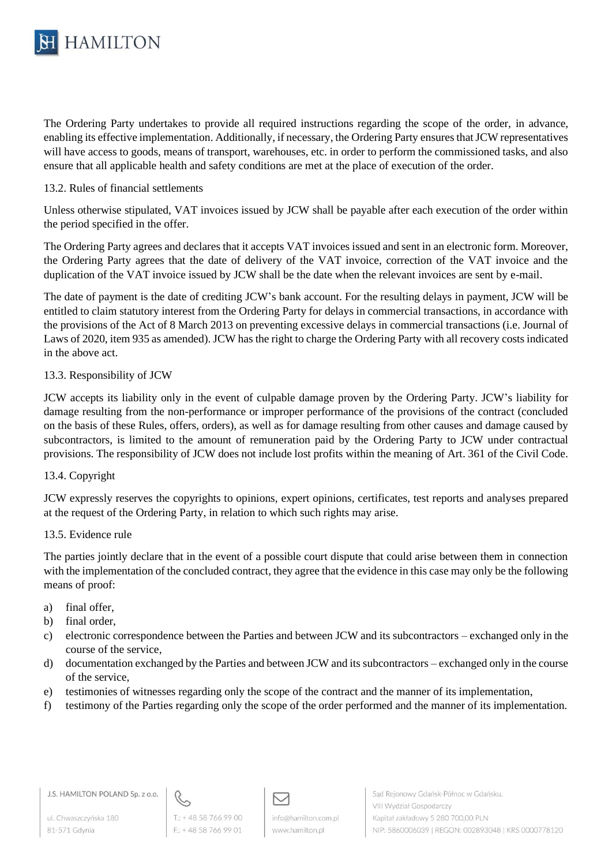

The Ordering Party undertakes to provide all required instructions regarding the scope of the order, in advance, enabling its effective implementation. Additionally, if necessary, the Ordering Party ensures that JCW representatives will have access to goods, means of transport, warehouses, etc. in order to perform the commissioned tasks, and also ensure that all applicable health and safety conditions are met at the place of execution of the order.

## 13.2. Rules of financial settlements

Unless otherwise stipulated, VAT invoices issued by JCW shall be payable after each execution of the order within the period specified in the offer.

The Ordering Party agrees and declares that it accepts VAT invoices issued and sent in an electronic form. Moreover, the Ordering Party agrees that the date of delivery of the VAT invoice, correction of the VAT invoice and the duplication of the VAT invoice issued by JCW shall be the date when the relevant invoices are sent by e-mail.

The date of payment is the date of crediting JCW's bank account. For the resulting delays in payment, JCW will be entitled to claim statutory interest from the Ordering Party for delays in commercial transactions, in accordance with the provisions of the Act of 8 March 2013 on preventing excessive delays in commercial transactions (i.e. Journal of Laws of 2020, item 935 as amended). JCW has the right to charge the Ordering Party with all recovery costs indicated in the above act.

## 13.3. Responsibility of JCW

JCW accepts its liability only in the event of culpable damage proven by the Ordering Party. JCW's liability for damage resulting from the non-performance or improper performance of the provisions of the contract (concluded on the basis of these Rules, offers, orders), as well as for damage resulting from other causes and damage caused by subcontractors, is limited to the amount of remuneration paid by the Ordering Party to JCW under contractual provisions. The responsibility of JCW does not include lost profits within the meaning of Art. 361 of the Civil Code.

### 13.4. Copyright

JCW expressly reserves the copyrights to opinions, expert opinions, certificates, test reports and analyses prepared at the request of the Ordering Party, in relation to which such rights may arise.

### 13.5. Evidence rule

The parties jointly declare that in the event of a possible court dispute that could arise between them in connection with the implementation of the concluded contract, they agree that the evidence in this case may only be the following means of proof:

- a) final offer,
- b) final order,
- c) electronic correspondence between the Parties and between JCW and its subcontractors exchanged only in the course of the service,
- d) documentation exchanged by the Parties and between JCW and its subcontractors exchanged only in the course of the service,
- e) testimonies of witnesses regarding only the scope of the contract and the manner of its implementation,
- f) testimony of the Parties regarding only the scope of the order performed and the manner of its implementation.

ul. Chwaszczyńska 180 81-571 Gdynia